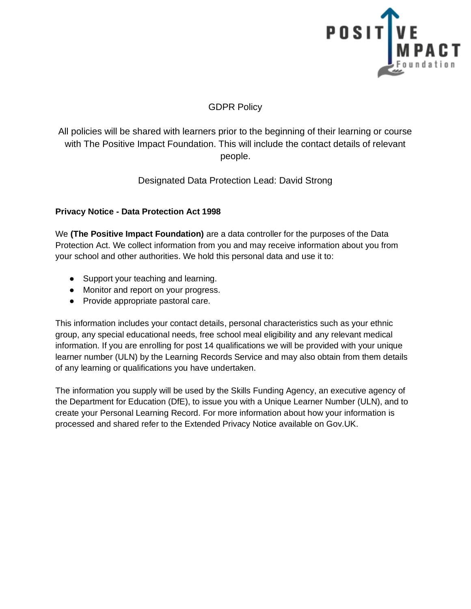

# GDPR Policy

All policies will be shared with learners prior to the beginning of their learning or course with The Positive Impact Foundation. This will include the contact details of relevant people.

Designated Data Protection Lead: David Strong

### **Privacy Notice - Data Protection Act 1998**

We **(The Positive Impact Foundation)** are a data controller for the purposes of the Data Protection Act. We collect information from you and may receive information about you from your school and other authorities. We hold this personal data and use it to:

- Support your teaching and learning.
- Monitor and report on your progress.
- Provide appropriate pastoral care.

This information includes your contact details, personal characteristics such as your ethnic group, any special educational needs, free school meal eligibility and any relevant medical information. If you are enrolling for post 14 qualifications we will be provided with your unique learner number (ULN) by the Learning Records Service and may also obtain from them details of any learning or qualifications you have undertaken.

The information you supply will be used by the Skills Funding Agency, an executive agency of the Department for Education (DfE), to issue you with a Unique Learner Number (ULN), and to create your Personal Learning Record. For more information about how your information is processed and shared refer to the Extended Privacy Notice available on Gov.UK.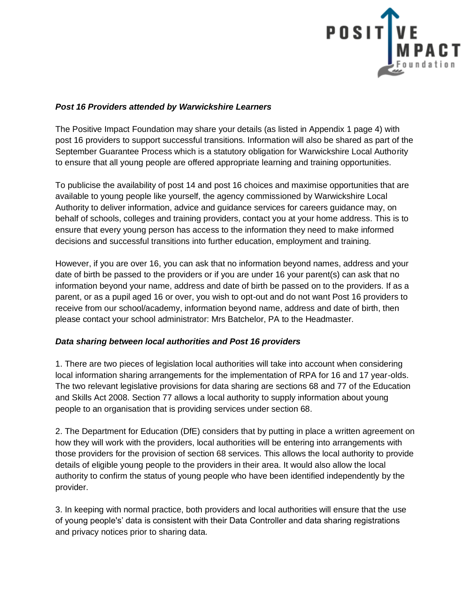

#### *Post 16 Providers attended by Warwickshire Learners*

The Positive Impact Foundation may share your details (as listed in Appendix 1 page 4) with post 16 providers to support successful transitions. Information will also be shared as part of the September Guarantee Process which is a statutory obligation for Warwickshire Local Authority to ensure that all young people are offered appropriate learning and training opportunities.

To publicise the availability of post 14 and post 16 choices and maximise opportunities that are available to young people like yourself, the agency commissioned by Warwickshire Local Authority to deliver information, advice and guidance services for careers guidance may, on behalf of schools, colleges and training providers, contact you at your home address. This is to ensure that every young person has access to the information they need to make informed decisions and successful transitions into further education, employment and training.

However, if you are over 16, you can ask that no information beyond names, address and your date of birth be passed to the providers or if you are under 16 your parent(s) can ask that no information beyond your name, address and date of birth be passed on to the providers. If as a parent, or as a pupil aged 16 or over, you wish to opt-out and do not want Post 16 providers to receive from our school/academy, information beyond name, address and date of birth, then please contact your school administrator: Mrs Batchelor, PA to the Headmaster.

#### *Data sharing between local authorities and Post 16 providers*

1. There are two pieces of legislation local authorities will take into account when considering local information sharing arrangements for the implementation of RPA for 16 and 17 year-olds. The two relevant legislative provisions for data sharing are sections 68 and 77 of the Education and Skills Act 2008. Section 77 allows a local authority to supply information about young people to an organisation that is providing services under section 68.

2. The Department for Education (DfE) considers that by putting in place a written agreement on how they will work with the providers, local authorities will be entering into arrangements with those providers for the provision of section 68 services. This allows the local authority to provide details of eligible young people to the providers in their area. It would also allow the local authority to confirm the status of young people who have been identified independently by the provider.

3. In keeping with normal practice, both providers and local authorities will ensure that the use of young people's' data is consistent with their Data Controller and data sharing registrations and privacy notices prior to sharing data.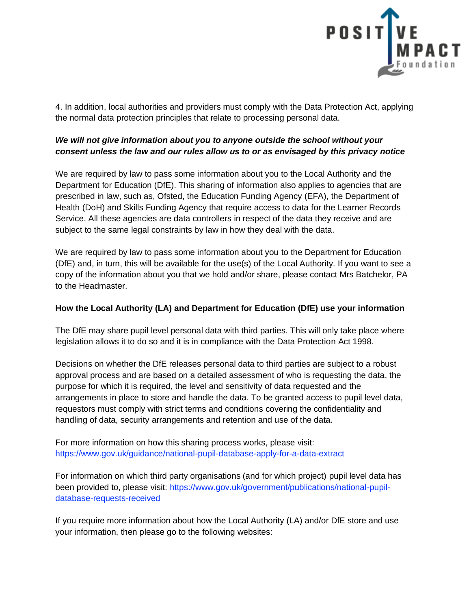

4. In addition, local authorities and providers must comply with the Data Protection Act, applying the normal data protection principles that relate to processing personal data.

# *We will not give information about you to anyone outside the school without your consent unless the law and our rules allow us to or as envisaged by this privacy notice*

We are required by law to pass some information about you to the Local Authority and the Department for Education (DfE). This sharing of information also applies to agencies that are prescribed in law, such as, Ofsted, the Education Funding Agency (EFA), the Department of Health (DoH) and Skills Funding Agency that require access to data for the Learner Records Service. All these agencies are data controllers in respect of the data they receive and are subject to the same legal constraints by law in how they deal with the data.

We are required by law to pass some information about you to the Department for Education (DfE) and, in turn, this will be available for the use(s) of the Local Authority. If you want to see a copy of the information about you that we hold and/or share, please contact Mrs Batchelor, PA to the Headmaster.

## **How the Local Authority (LA) and Department for Education (DfE) use your information**

The DfE may share pupil level personal data with third parties. This will only take place where legislation allows it to do so and it is in compliance with the Data Protection Act 1998.

Decisions on whether the DfE releases personal data to third parties are subject to a robust approval process and are based on a detailed assessment of who is requesting the data, the purpose for which it is required, the level and sensitivity of data requested and the arrangements in place to store and handle the data. To be granted access to pupil level data, requestors must comply with strict terms and conditions covering the confidentiality and handling of data, security arrangements and retention and use of the data.

For more information on how this sharing process works, please visit: https://www.gov.uk/guidance/national-pupil-database-apply-for-a-data-extract

For information on which third party organisations (and for which project) pupil level data has been provided to, please visit: https://www.gov.uk/government/publications/national-pupildatabase-requests-received

If you require more information about how the Local Authority (LA) and/or DfE store and use your information, then please go to the following websites: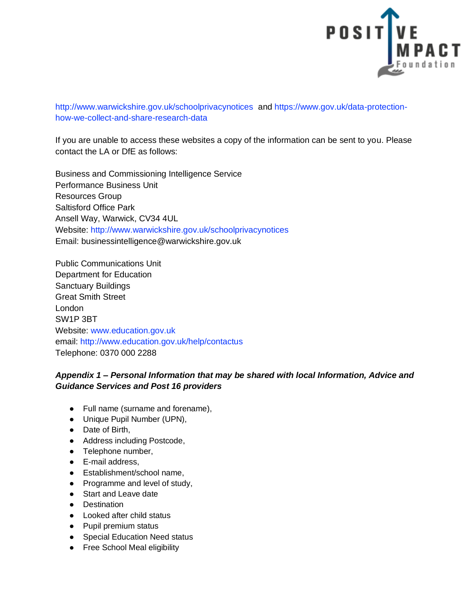

http://www.warwickshire.gov.uk/schoolprivacynotices and https://www.gov.uk/data-protectionhow-we-collect-and-share-research-data

If you are unable to access these websites a copy of the information can be sent to you. Please contact the LA or DfE as follows:

Business and Commissioning Intelligence Service Performance Business Unit Resources Group Saltisford Office Park Ansell Way, Warwick, CV34 4UL Website: http://www.warwickshire.gov.uk/schoolprivacynotices Email: businessintelligence@warwickshire.gov.uk

Public Communications Unit Department for Education Sanctuary Buildings Great Smith Street London SW1P 3BT Website: www.education.gov.uk email: http://www.education.gov.uk/help/contactus Telephone: 0370 000 2288

### *Appendix 1 – Personal Information that may be shared with local Information, Advice and Guidance Services and Post 16 providers*

- Full name (surname and forename),
- Unique Pupil Number (UPN),
- Date of Birth,
- Address including Postcode,
- Telephone number,
- E-mail address,
- Establishment/school name,
- Programme and level of study,
- Start and Leave date
- Destination
- Looked after child status
- Pupil premium status
- Special Education Need status
- Free School Meal eligibility